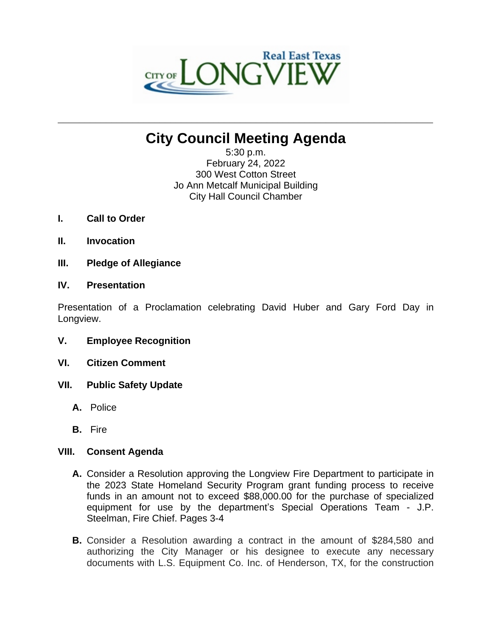

# **City Council Meeting Agenda**

**\_\_\_\_\_\_\_\_\_\_\_\_\_\_\_\_\_\_\_\_\_\_\_\_\_\_\_\_\_\_\_\_\_\_\_\_\_\_\_\_\_\_\_\_\_\_\_\_\_\_\_\_\_\_\_\_\_\_\_\_\_\_\_\_\_\_\_\_\_\_**

5:30 p.m. February 24, 2022 300 West Cotton Street Jo Ann Metcalf Municipal Building City Hall Council Chamber

- **I. Call to Order**
- **II. Invocation**
- **III. Pledge of Allegiance**

## **IV. Presentation**

Presentation of a Proclamation celebrating David Huber and Gary Ford Day in Longview.

- **V. Employee Recognition**
- **VI. Citizen Comment**
- **VII. Public Safety Update**
	- **A.** Police
	- **B.** Fire

## **VIII. Consent Agenda**

- **A.** Consider a Resolution approving the Longview Fire Department to participate in the 2023 State Homeland Security Program grant funding process to receive funds in an amount not to exceed \$88,000.00 for the purchase of specialized equipment for use by the department's Special Operations Team - J.P. Steelman, Fire Chief. Pages 3-4
- **B.** Consider a Resolution awarding a contract in the amount of \$284,580 and authorizing the City Manager or his designee to execute any necessary documents with L.S. Equipment Co. Inc. of Henderson, TX, for the construction